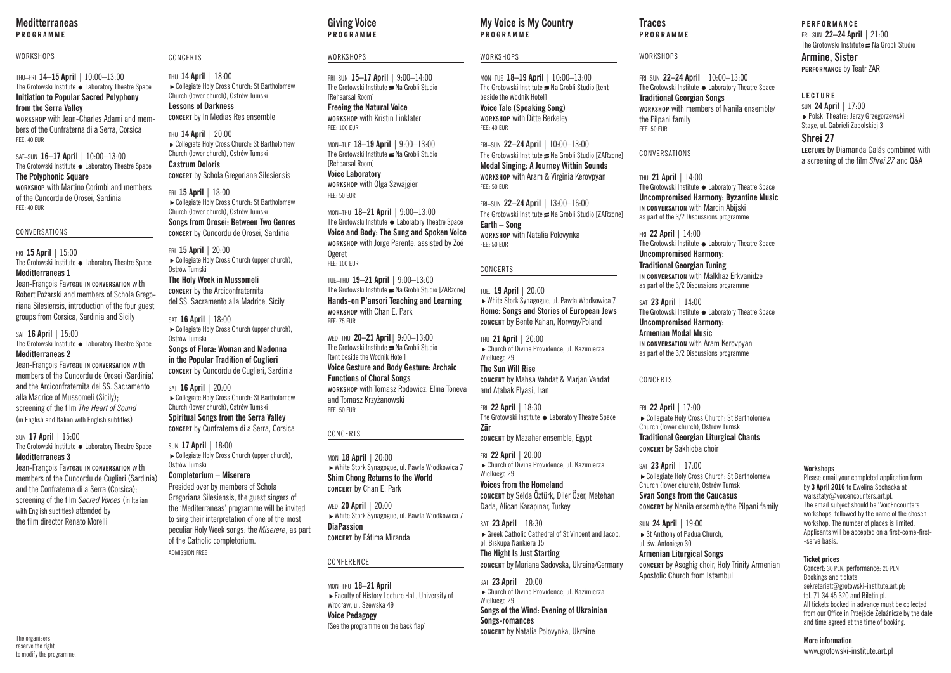## **Meditterraneas PROGRAMME**

### WORKSHOPS

THU–FRI **14–15 April** | 10:00–13:00 The Grotowski Institute • Laboratory Theatre Space **Initiation to Popular Sacred Polyphony from the Serra Valley WORKSHOP** with Jean-Charles Adami and members of the Cunfraterna di a Serra, Corsica FEE: 40 EUR

SAT–SUN **16–17 April** | 10:00–13:00 The Grotowski Institute • Laboratory Theatre Space **The Polyphonic Square WORKSHOP** with Martino Corimbi and members of the Cuncordu de Orosei, Sardinia

CONVERSATIONS

FEE: 40 EUR

### FRI **15 April** | 15:00 The Grotowski Institute • Laboratory Theatre Space **Meditterraneas 1**

Jean-François Favreau **IN CONVERSATION** with Robert Pożarski and members of Schola Gregoriana Silesiensis, introduction of the four guest groups from Corsica, Sardinia and Sicily

SAT **16 April** | 15:00 The Grotowski Institute  Laboratory Theatre Space **Meditterraneas 2**

Jean-François Favreau **IN CONVERSATION** with members of the Cuncordu de Orosei (Sardinia) and the Arciconfraternita del SS. Sacramento alla Madrice of Mussomeli (Sicily); screening of the film *The Heart of Sound* (in English and Italian with English subtitles)

### SUN **17 April** | 15:00 The Grotowski Institute • Laboratory Theatre Space **Meditterraneas 3**

Jean-François Favreau **IN CONVERSATION** with members of the Cuncordu de Cuglieri (Sardinia) and the Confraterna di a Serra (Corsica); screening of the film *Sacred Voices* (in Italian with English subtitles) attended by the film director Renato Morelli

### CONCERTS

THU **14 April** | 18:00 Collegiate Holy Cross Church: St Bartholomew Church (lower church), Ostrów Tumski **Lessons of Darkness CONCERT** by In Medias Res ensemble

THU **14 April** | 20:00 ► Collegiate Holy Cross Church: St Bartholomew Church (lower church), Ostrów Tumski **Castrum Doloris CONCERT** by Schola Gregoriana Silesiensis

FRI **15 April** | 18:00 Collegiate Holy Cross Church: St Bartholomew Church (lower church), Ostrów Tumski **Songs from Orosei: Between Two Genres CONCERT** by Cuncordu de Orosei, Sardinia

FRI **15 April** | 20:00 Collegiate Holy Cross Church (upper church) Ostrów Tumski **The Holy Week in Mussomeli CONCERT** by the Arciconfraternita

del SS. Sacramento alla Madrice, Sicily SAT **16 April** | 18:00

 $\blacktriangleright$  Collegiate Holy Cross Church (upper church), Ostrów Tumski

**Songs of Flora: Woman and Madonna in the Popular Tradition of Cuglieri CONCERT** by Cuncordu de Cuglieri, Sardinia

SAT **16 April** | 20:00 ► Collegiate Holy Cross Church: St Bartholomew Church (lower church), Ostrów Tumski **Spiritual Songs from the Serra Valley CONCERT** by Cunfraterna di a Serra, Corsica

SUN **17 April** | 18:00 ► Collegiate Holy Cross Church (upper church), Ostrów Tumski

**Completorium – Miserere**

Presided over by members of Schola Gregoriana Silesiensis, the guest singers of the 'Mediterraneas' programme will be invited to sing their interpretation of one of the most peculiar Holy Week songs: the *Miserere*, as part of the Catholic completorium. ADMISSION FREE

## **Giving Voice PROGRAMME**

### **WORKSHOPS**

FRI–SUN **15–17 April** | 9:00–14:00 The Grotowski Institute  $\equiv$  Na Grobli Studio [Rehearsal Room]

**Freeing the Natural Voice WORKSHOP** with Kristin Linklater FEE: 100 EUR

MON–TUE **18–19 April** | 9:00–13:00 The Grotowski Institute  $\equiv$  Na Grobli Studio [Rehearsal Room] **Voice Laboratory WORKSHOP** with Olga Szwajgier FEE: 50 EUR

MON–THU **18–21 April** | 9:00–13:00 The Grotowski Institute · Laboratory Theatre Space **Voice and Body: The Sung and Spoken Voice WORKSHOP** with Jorge Parente, assisted by Zoé Ogeret FFE: 100 FUR

TUE–THU **19–21 April** | 9:00–13:00 The Grotowski Institute  $\equiv$  Na Grobli Studio [ZARzone] **Hands-on P'ansori Teaching and Learning WORKSHOP** with Chan E. Park FEE: 75 EUR

WED–THU **20–21 April**| 9:00–13:00 The Grotowski Institute  $\equiv$  Na Grobli Studio [tent beside the Wodnik Hotel] **Voice Gesture and Body Gesture: Archaic Functions of Choral Songs WORKSHOP** with Tomasz Rodowicz, Elina Toneva and Tomasz Krzyżanowski FEE: 50 EUR

### CONCERTS

MON **18 April** | 20:00 White Stork Synagogue, ul. Pawła Włodkowica 7 **Shim Chong Returns to the World CONCERT** by Chan E. Park

WED **20 April** | 20:00 White Stork Synagogue, ul. Pawła Włodkowica 7 **DiaPassion CONCERT** by Fátima Miranda

### CONFERENCE

MON–THU **18**–**21 April** ► Faculty of History Lecture Hall, University of Wrocław, ul. Szewska 49 **Voice Pedagogy**  [See the programme on the back flap]

## **My Voice is My Country P R O G R A M M E**

### **WORKSHOPS**

MON–TUE **18–19 April** | 10:00–13:00 The Grotowski Institute  $\approx$  Na Grobli Studio [tent beside the Wodnik Hotel] **Voice Tale (Speaking Song) WORKSHOP** with Ditte Berkeley FEE: 40 EUR

FRI–SUN **22–24 April** | 10:00–13:00 The Grotowski Institute  $\equiv$  Na Grobli Studio [ZARzone] **Modal Singing: A Journey Within Sounds WORKSHOP** with Aram & Virginia Kerovpyan FEE: 50 EUR

FRI–SUN **22–24 April** | 13:00–16:00 The Grotowski Institute  $\equiv$  Na Grobli Studio [ZARzone] **Earth – Song WORKSHOP** with Natalia Polovynka FEE: 50 EUR

### CONCERTS

TUE. **19 April** | 20:00 White Stork Synagogue, ul. Pawła Włodkowica 7 **Home: Songs and Stories of European Jews CONCERT** by Bente Kahan, Norway/Poland

THU **21 April** | 20:00 Church of Divine Providence, ul. Kazimierza Wielkiego 29

**The Sun Will Rise CONCERT** by Mahsa Vahdat & Marjan Vahdat and Atabak Elyasi, Iran

FRI **22 April** | 18:30 The Grotowski Institute • Laboratory Theatre Space **Zār CONCERT** by Mazaher ensemble, Egypt

FRI **22 April** | 20:00 Church of Divine Providence, ul. Kazimierza

Wielkiego 29 **Voices from the Homeland CONCERT** by Selda Öztürk, Diler Özer, Metehan Dada, Alican Karapınar, Turkey

SAT **23 April** | 18:30 Greek Catholic Cathedral of St Vincent and Jacob, pl. Biskupa Nankiera 15 **The Night Is Just Starting**

**CONCERT** by Mariana Sadovska, Ukraine/Germany

SAT **23 April** | 20:00 Church of Divine Providence, ul. Kazimierza Wielkiego 29 **Songs of the Wind: Evening of Ukrainian Songs-romances CONCERT** by Natalia Polovynka, Ukraine

## **Traces PROGRAMME**

### **WORKSHOPS**

FRI–SUN **22–24 April** | 10:00–13:00 The Grotowski Institute • Laboratory Theatre Space **Traditional Georgian Songs WORKSHOP** with members of Nanila ensemble/ the Pilpani family FEE: 50 EUR

### CONVERSATIONS

THU **21 April** | 14:00 The Grotowski Institute  Laboratory Theatre Space **Uncompromised Harmony: Byzantine Music IN CONVERSATION** with Marcin Abijski as part of the 3/2 Discussions programme

FRI **22 April** | 14:00 The Grotowski Institute • Laboratory Theatre Space

**Uncompromised Harmony: Traditional Georgian Tuning IN CONVERSATION** with Malkhaz Erkvanidze as part of the 3/2 Discussions programme

### SAT **23 April** | 14:00

The Grotowski Institute • Laboratory Theatre Space **Uncompromised Harmony: Armenian Modal Music IN CONVERSATION** with Aram Kerovpyan as part of the 3/2 Discussions programme

## CONCERTS

FRI **22 April** | 17:00 Collegiate Holy Cross Church: St Bartholomew Church (lower church), Ostrów Tumski **Traditional Georgian Liturgical Chants CONCERT** by Sakhioba choir

SAT **23 April** | 17:00 Collegiate Holy Cross Church: St Bartholomew Church (lower church), Ostrów Tumski **Svan Songs from the Caucasus**

**CONCERT** by Nanila ensemble/the Pilpani family

**Armenian Liturgical Songs CONCERT** by Asoghig choir, Holy Trinity Armenian

## **PERFORMANCE**

FRI–SUN **22–24 April** | 21:00 The Grotowski Institute  $\cong$  Na Grobli Studio **Armine, Sister PERFORMANCE** by Teatr ZAR

## **LECTURE**

SUN **24 April** | 17:00 Polski Theatre: Jerzy Grzegorzewski Stage, ul. Gabrieli Zapolskiej 3

## **Shrei 27**

**LECTURE** by Diamanda Galás combined with a screening of the film *Shrei 27* and Q&A

**Workshops** Please email your completed application form by **3 April 2016** to Ewelina Sochacka at warsztaty@voicencounters.art.pl The email subject should be 'VoicEncounters workshops' followed by the name of the chosen

SUN **24 April** | 19:00 ► St Anthony of Padua Church ul. św. Antoniego 30

Apostolic Church from Istambul

### **Ticket prices**  Concert: 30 PLN, performance: 20 PLN Bookings and tickets: sekretariat@grotowski-institute.art.pl; tel. 71 34 45 320 and Biletin pl. All tickets booked in advance must be collected from our Office in Przejście Żelaźnicze by the date and time agreed at the time of booking.

workshop. The number of places is limited. Applicants will be accepted on a first-come-first-

-serve basis.

**More information** www.grotowski-institute.art.pl